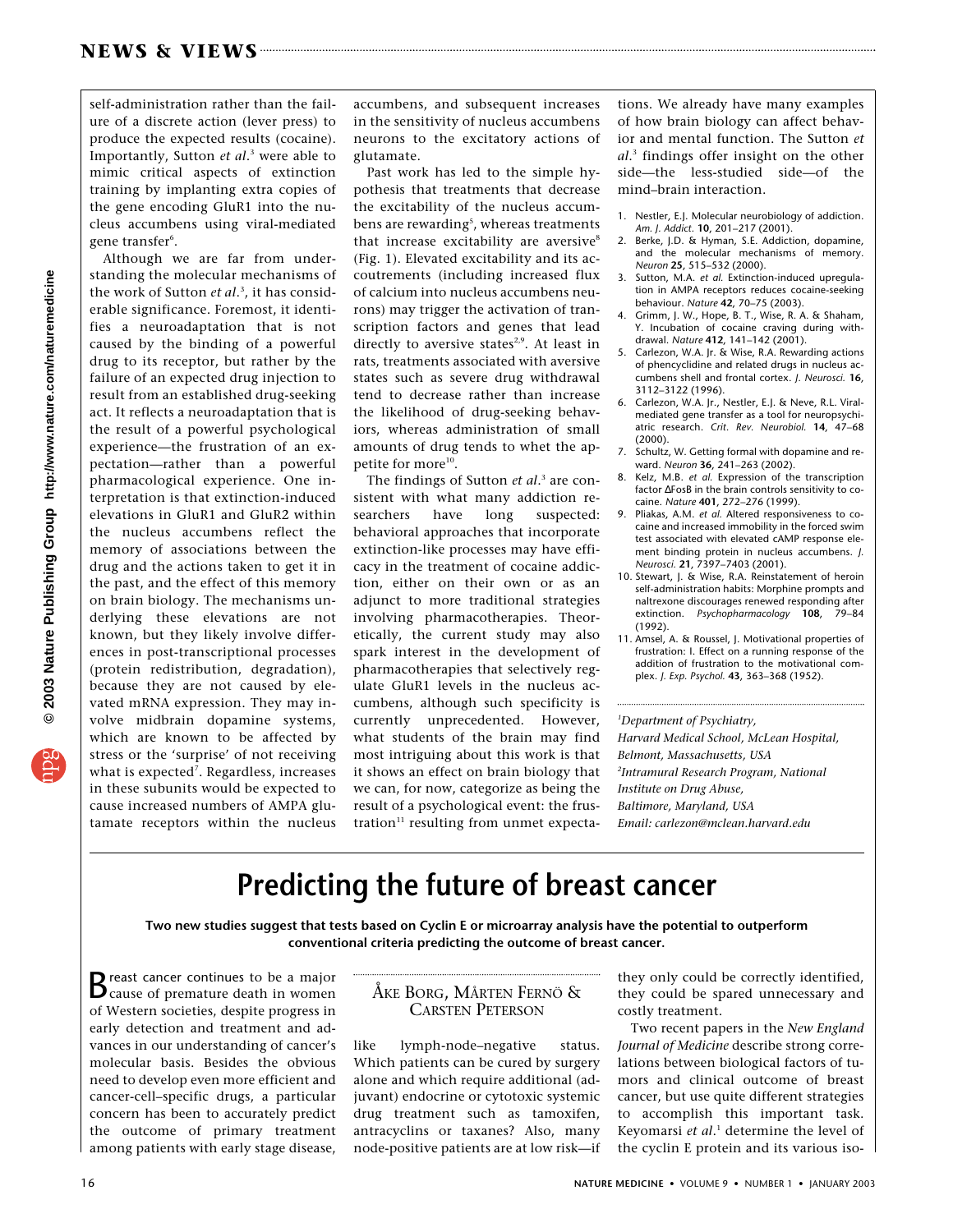self-administration rather than the failure of a discrete action (lever press) to produce the expected results (cocaine). Importantly, Sutton *et al*. <sup>3</sup> were able to mimic critical aspects of extinction training by implanting extra copies of the gene encoding GluR1 into the nucleus accumbens using viral-mediated gene transfer<sup>6</sup>.

Although we are far from understanding the molecular mechanisms of the work of Sutton *et al*. 3 , it has considerable significance. Foremost, it identifies a neuroadaptation that is not caused by the binding of a powerful drug to its receptor, but rather by the failure of an expected drug injection to result from an established drug-seeking act. It reflects a neuroadaptation that is the result of a powerful psychological experience—the frustration of an expectation—rather than a powerful pharmacological experience. One interpretation is that extinction-induced elevations in GluR1 and GluR2 within the nucleus accumbens reflect the memory of associations between the drug and the actions taken to get it in the past, and the effect of this memory on brain biology. The mechanisms underlying these elevations are not known, but they likely involve differences in post-transcriptional processes (protein redistribution, degradation), because they are not caused by elevated mRNA expression. They may involve midbrain dopamine systems, which are known to be affected by stress or the 'surprise' of not receiving what is expected<sup>7</sup>. Regardless, increases in these subunits would be expected to cause increased numbers of AMPA glutamate receptors within the nucleus

accumbens, and subsequent increases in the sensitivity of nucleus accumbens neurons to the excitatory actions of glutamate.

Past work has led to the simple hypothesis that treatments that decrease the excitability of the nucleus accumbens are rewarding<sup>s</sup>, whereas treatments that increase excitability are aversive<sup>8</sup> (Fig. 1). Elevated excitability and its accoutrements (including increased flux of calcium into nucleus accumbens neurons) may trigger the activation of transcription factors and genes that lead directly to aversive states<sup>2,9</sup>. At least in rats, treatments associated with aversive states such as severe drug withdrawal tend to decrease rather than increase the likelihood of drug-seeking behaviors, whereas administration of small amounts of drug tends to whet the appetite for more<sup>10</sup>.

The findings of Sutton *et al*. <sup>3</sup> are consistent with what many addiction researchers have long suspected: behavioral approaches that incorporate extinction-like processes may have efficacy in the treatment of cocaine addiction, either on their own or as an adjunct to more traditional strategies involving pharmacotherapies. Theoretically, the current study may also spark interest in the development of pharmacotherapies that selectively regulate GluR1 levels in the nucleus accumbens, although such specificity is currently unprecedented. However, what students of the brain may find most intriguing about this work is that it shows an effect on brain biology that we can, for now, categorize as being the result of a psychological event: the frustration $11$  resulting from unmet expectations. We already have many examples of how brain biology can affect behavior and mental function. The Sutton *et al*. <sup>3</sup> findings offer insight on the other side—the less-studied side—of the mind–brain interaction.

- 1. Nestler, E.J. Molecular neurobiology of addiction. *Am. J. Addict.* **10**, 201–217 (2001).
- 2. Berke, J.D. & Hyman, S.E. Addiction, dopamine, and the molecular mechanisms of memory. *Neuron* **25**, 515–532 (2000).
- 3. Sutton, M.A. *et al.* Extinction-induced upregulation in AMPA receptors reduces cocaine-seeking behaviour. *Nature* **42**, 70–75 (2003).
- 4. Grimm, J. W., Hope, B. T., Wise, R. A. & Shaham, Y. Incubation of cocaine craving during withdrawal. *Nature* **412**, 141–142 (2001).
- 5. Carlezon, W.A. Jr. & Wise, R.A. Rewarding actions of phencyclidine and related drugs in nucleus accumbens shell and frontal cortex. *J. Neurosci.* **16**, 3112–3122 (1996).
- 6. Carlezon, W.A. Jr., Nestler, E.J. & Neve, R.L. Viralmediated gene transfer as a tool for neuropsychiatric research. *Crit. Rev. Neurobiol.* **14**, 47–68 (2000).
- Schultz, W. Getting formal with dopamine and reward. *Neuron* **36**, 241–263 (2002).
- 8. Kelz, M.B. *et al.* Expression of the transcription factor ∆FosB in the brain controls sensitivity to cocaine. *Nature* **401**, 272–276 (1999).
- 9. Pliakas, A.M. *et al.* Altered responsiveness to cocaine and increased immobility in the forced swim test associated with elevated cAMP response element binding protein in nucleus accumbens. *J. Neurosci.* **21**, 7397–7403 (2001).
- 10. Stewart, J. & Wise, R.A. Reinstatement of heroin self-administration habits: Morphine prompts and naltrexone discourages renewed responding after extinction. *Psychopharmacology* **108**, 79–84 (1992).
- 11. Amsel, A. & Roussel, J. Motivational properties of frustration: I. Effect on a running response of the addition of frustration to the motivational complex. *J. Exp. Psychol.* **43**, 363–368 (1952).

*1 Department of Psychiatry, Harvard Medical School, McLean Hospital, Belmont, Massachusetts, USA 2 Intramural Research Program, National Institute on Drug Abuse, Baltimore, Maryland, USA Email: carlezon@mclean.harvard.edu*

## **Predicting the future of breast cancer**

**Two new studies suggest that tests based on Cyclin E or microarray analysis have the potential to outperform conventional criteria predicting the outcome of breast cancer.**

Breast cancer continues to be a major<br>Cause of premature death in women of Western societies, despite progress in early detection and treatment and advances in our understanding of cancer's molecular basis. Besides the obvious need to develop even more efficient and cancer-cell–specific drugs, a particular concern has been to accurately predict the outcome of primary treatment among patients with early stage disease,

## ÅKE BORG, MÅRTEN FERNÖ & CARSTEN PETERSON

like lymph-node–negative status. Which patients can be cured by surgery alone and which require additional (adjuvant) endocrine or cytotoxic systemic drug treatment such as tamoxifen, antracyclins or taxanes? Also, many node-positive patients are at low risk—if they only could be correctly identified, they could be spared unnecessary and costly treatment.

Two recent papers in the *New England Journal of Medicine* describe strong correlations between biological factors of tumors and clinical outcome of breast cancer, but use quite different strategies to accomplish this important task. Keyomarsi *et al*. <sup>1</sup> determine the level of the cyclin E protein and its various iso-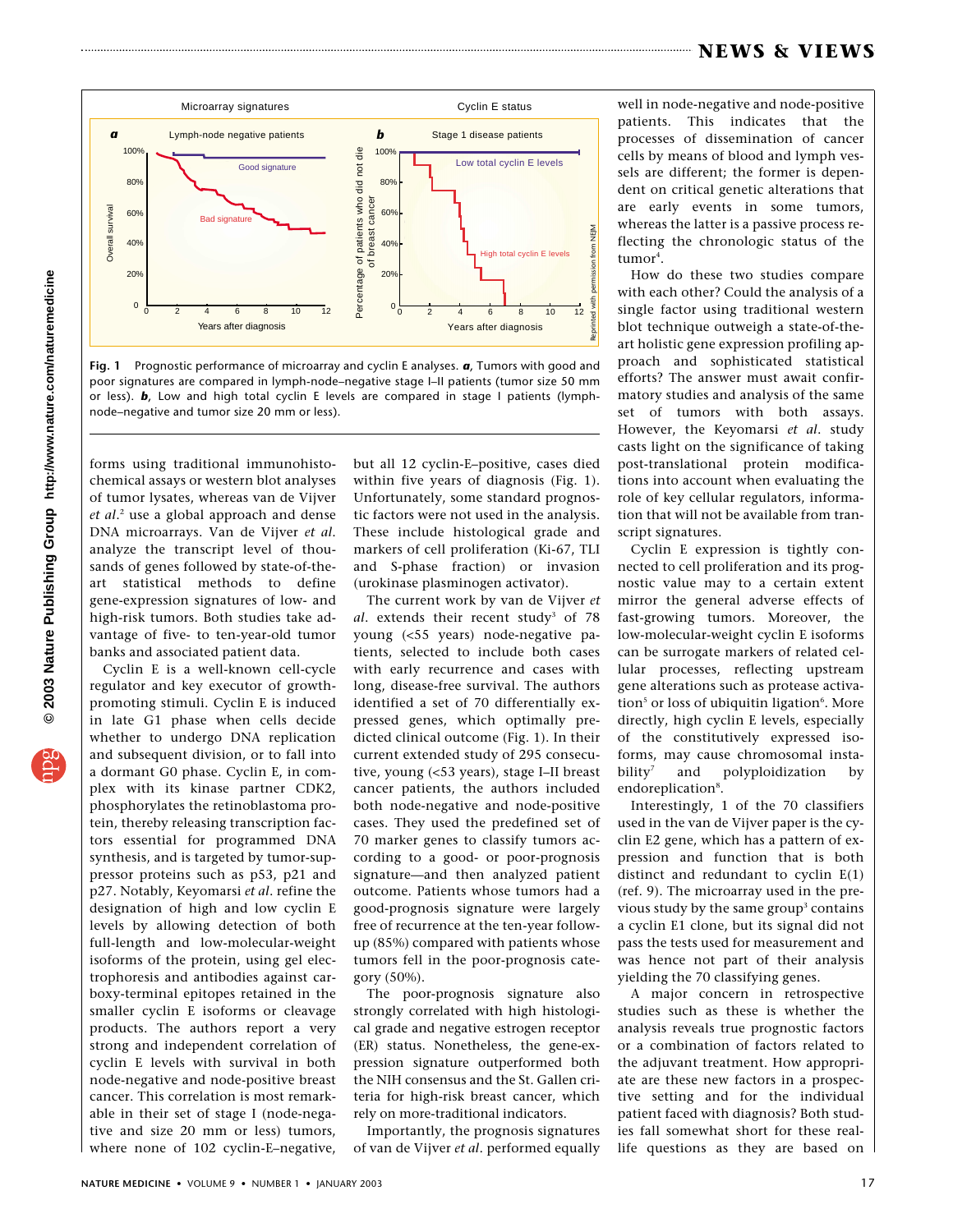## **NEWS & VIEWS**



**Fig. 1** Prognostic performance of microarray and cyclin E analyses. *a*, Tumors with good and poor signatures are compared in lymph-node–negative stage I–II patients (tumor size 50 mm or less). *b*, Low and high total cyclin E levels are compared in stage I patients (lymph-

forms using traditional immunohistochemical assays or western blot analyses of tumor lysates, whereas van de Vijver *et al*. <sup>2</sup> use a global approach and dense DNA microarrays. Van de Vijver *et al*. analyze the transcript level of thousands of genes followed by state-of-theart statistical methods to define gene-expression signatures of low- and high-risk tumors. Both studies take advantage of five- to ten-year-old tumor banks and associated patient data.

Cyclin E is a well-known cell-cycle regulator and key executor of growthpromoting stimuli. Cyclin E is induced in late G1 phase when cells decide whether to undergo DNA replication and subsequent division, or to fall into a dormant G0 phase. Cyclin E, in complex with its kinase partner CDK2, phosphorylates the retinoblastoma protein, thereby releasing transcription factors essential for programmed DNA synthesis, and is targeted by tumor-suppressor proteins such as p53, p21 and p27. Notably, Keyomarsi *et al*. refine the designation of high and low cyclin E levels by allowing detection of both full-length and low-molecular-weight isoforms of the protein, using gel electrophoresis and antibodies against carboxy-terminal epitopes retained in the smaller cyclin E isoforms or cleavage products. The authors report a very strong and independent correlation of cyclin E levels with survival in both node-negative and node-positive breast cancer. This correlation is most remarkable in their set of stage I (node-negative and size 20 mm or less) tumors, where none of 102 cyclin-E–negative,

but all 12 cyclin-E–positive, cases died within five years of diagnosis (Fig. 1). Unfortunately, some standard prognostic factors were not used in the analysis. These include histological grade and markers of cell proliferation (Ki-67, TLI and S-phase fraction) or invasion (urokinase plasminogen activator).

The current work by van de Vijver *et* al. extends their recent study<sup>3</sup> of 78 young (<55 years) node-negative patients, selected to include both cases with early recurrence and cases with long, disease-free survival. The authors identified a set of 70 differentially expressed genes, which optimally predicted clinical outcome (Fig. 1). In their current extended study of 295 consecutive, young (<53 years), stage I–II breast cancer patients, the authors included both node-negative and node-positive cases. They used the predefined set of 70 marker genes to classify tumors according to a good- or poor-prognosis signature—and then analyzed patient outcome. Patients whose tumors had a good-prognosis signature were largely free of recurrence at the ten-year followup (85%) compared with patients whose tumors fell in the poor-prognosis category (50%).

The poor-prognosis signature also strongly correlated with high histological grade and negative estrogen receptor (ER) status. Nonetheless, the gene-expression signature outperformed both the NIH consensus and the St. Gallen criteria for high-risk breast cancer, which rely on more-traditional indicators.

Importantly, the prognosis signatures of van de Vijver *et al*. performed equally well in node-negative and node-positive patients. This indicates that the processes of dissemination of cancer cells by means of blood and lymph vessels are different; the former is dependent on critical genetic alterations that are early events in some tumors, whereas the latter is a passive process reflecting the chronologic status of the tumor<sup>4</sup>.

How do these two studies compare with each other? Could the analysis of a single factor using traditional western blot technique outweigh a state-of-theart holistic gene expression profiling approach and sophisticated statistical efforts? The answer must await confirmatory studies and analysis of the same set of tumors with both assays. However, the Keyomarsi *et al*. study casts light on the significance of taking post-translational protein modifications into account when evaluating the role of key cellular regulators, information that will not be available from transcript signatures.

Cyclin E expression is tightly connected to cell proliferation and its prognostic value may to a certain extent mirror the general adverse effects of fast-growing tumors. Moreover, the low-molecular-weight cyclin E isoforms can be surrogate markers of related cellular processes, reflecting upstream gene alterations such as protease activation<sup>s</sup> or loss of ubiquitin ligation<sup>6</sup>. More directly, high cyclin E levels, especially of the constitutively expressed isoforms, may cause chromosomal instability<sup>7</sup> and polyploidization by endoreplication<sup>8</sup>.

Interestingly, 1 of the 70 classifiers used in the van de Vijver paper is the cyclin E2 gene, which has a pattern of expression and function that is both distinct and redundant to cyclin E(1) (ref. 9). The microarray used in the previous study by the same group<sup>3</sup> contains a cyclin E1 clone, but its signal did not pass the tests used for measurement and was hence not part of their analysis yielding the 70 classifying genes.

A major concern in retrospective studies such as these is whether the analysis reveals true prognostic factors or a combination of factors related to the adjuvant treatment. How appropriate are these new factors in a prospective setting and for the individual patient faced with diagnosis? Both studies fall somewhat short for these reallife questions as they are based on